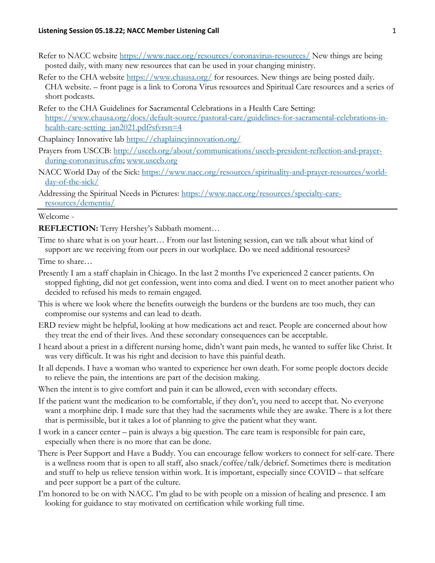- Refer to NACC website<https://www.nacc.org/resources/coronavirus-resources/> New things are being posted daily, with many new resources that can be used in your changing ministry.
- Refer to the CHA website<https://www.chausa.org/> for resources. New things are being posted daily. CHA website. – front page is a link to Corona Virus resources and Spiritual Care resources and a series of short podcasts.
- Refer to the CHA Guidelines for Sacramental Celebrations in a Health Care Setting: [https://www.chausa.org/docs/default-source/pastoral-care/guidelines-for-sacramental-celebrations-in](https://www.chausa.org/docs/default-source/pastoral-care/guidelines-for-sacramental-celebrations-in-health-care-setting_jan2021.pdf?sfvrsn=4)[health-care-setting\\_jan2021.pdf?sfvrsn=4](https://www.chausa.org/docs/default-source/pastoral-care/guidelines-for-sacramental-celebrations-in-health-care-setting_jan2021.pdf?sfvrsn=4)

Chaplaincy Innovative lab<https://chaplaincyinnovation.org/>

- Prayers from USCCB: [http://usccb.org/about/communications/usccb-president-reflection-and-prayer](http://usccb.org/about/communications/usccb-president-reflection-and-prayer-during-coronavirus.cfm)[during-coronavirus.cfm;](http://usccb.org/about/communications/usccb-president-reflection-and-prayer-during-coronavirus.cfm) [www.usccb.org](http://www.usccb.org/)
- NACC World Day of the Sick: [https://www.nacc.org/resources/spirituality-and-prayer-resources/world](https://www.nacc.org/resources/spirituality-and-prayer-resources/world-day-of-the-sick/)[day-of-the-sick/](https://www.nacc.org/resources/spirituality-and-prayer-resources/world-day-of-the-sick/)
- Addressing the Spiritual Needs in Pictures: [https://www.nacc.org/resources/specialty-care](https://www.nacc.org/resources/specialty-care-resources/dementia/)[resources/dementia/](https://www.nacc.org/resources/specialty-care-resources/dementia/)

## Welcome -

**REFLECTION:** Terry Hershey's Sabbath moment…

Time to share what is on your heart… From our last listening session, can we talk about what kind of support are we receiving from our peers in our workplace. Do we need additional resources?

Time to share…

- Presently I am a staff chaplain in Chicago. In the last 2 months I've experienced 2 cancer patients. On stopped fighting, did not get confession, went into coma and died. I went on to meet another patient who decided to refused his meds to remain engaged.
- This is where we look where the benefits outweigh the burdens or the burdens are too much, they can compromise our systems and can lead to death.
- ERD review might be helpful, looking at how medications act and react. People are concerned about how they treat the end of their lives. And these secondary consequences can be acceptable.
- I heard about a priest in a different nursing home, didn't want pain meds, he wanted to suffer like Christ. It was very difficult. It was his right and decision to have this painful death.
- It all depends. I have a woman who wanted to experience her own death. For some people doctors decide to relieve the pain, the intentions are part of the decision making.
- When the intent is to give comfort and pain it can be allowed, even with secondary effects.
- If the patient want the medication to be comfortable, if they don't, you need to accept that. No everyone want a morphine drip. I made sure that they had the sacraments while they are awake. There is a lot there that is permissible, but it takes a lot of planning to give the patient what they want.
- I work in a cancer center pain is always a big question. The care team is responsible for pain care, especially when there is no more that can be done.
- There is Peer Support and Have a Buddy. You can encourage fellow workers to connect for self-care. There is a wellness room that is open to all staff, also snack/coffee/talk/debrief. Sometimes there is meditation and stuff to help us relieve tension within work. It is important, especially since COVID – that selfcare and peer support be a part of the culture.
- I'm honored to be on with NACC. I'm glad to be with people on a mission of healing and presence. I am looking for guidance to stay motivated on certification while working full time.